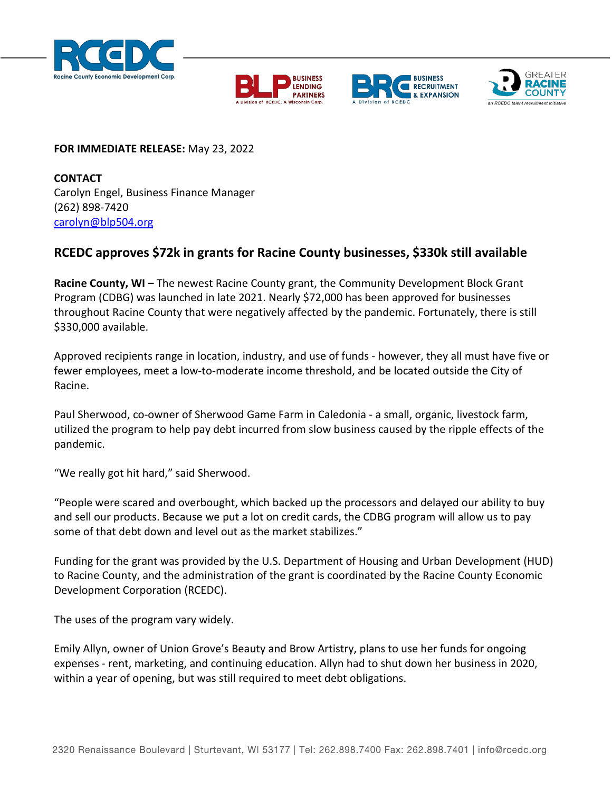







## **FOR IMMEDIATE RELEASE:** May 23, 2022

**CONTACT** Carolyn Engel, Business Finance Manager (262) 898-7420 [carolyn@blp504.org](mailto:carolyn@blp504.org)

## **RCEDC approves \$72k in grants for Racine County businesses, \$330k still available**

**Racine County, WI –** The newest Racine County grant, the Community Development Block Grant Program (CDBG) was launched in late 2021. Nearly \$72,000 has been approved for businesses throughout Racine County that were negatively affected by the pandemic. Fortunately, there is still \$330,000 available.

Approved recipients range in location, industry, and use of funds - however, they all must have five or fewer employees, meet a low-to-moderate income threshold, and be located outside the City of Racine.

Paul Sherwood, co-owner of Sherwood Game Farm in Caledonia - a small, organic, livestock farm, utilized the program to help pay debt incurred from slow business caused by the ripple effects of the pandemic.

"We really got hit hard," said Sherwood.

"People were scared and overbought, which backed up the processors and delayed our ability to buy and sell our products. Because we put a lot on credit cards, the CDBG program will allow us to pay some of that debt down and level out as the market stabilizes."

Funding for the grant was provided by the U.S. Department of Housing and Urban Development (HUD) to Racine County, and the administration of the grant is coordinated by the Racine County Economic Development Corporation (RCEDC).

The uses of the program vary widely.

Emily Allyn, owner of Union Grove's Beauty and Brow Artistry, plans to use her funds for ongoing expenses - rent, marketing, and continuing education. Allyn had to shut down her business in 2020, within a year of opening, but was still required to meet debt obligations.